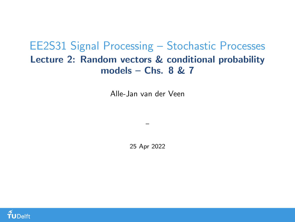#### <span id="page-0-0"></span>EE2S31 Signal Processing – Stochastic Processes Lecture 2: Random vectors & conditional probability models – Chs.  $8 \& 7$

Alle-Jan van der Veen

25 Apr 2022

–

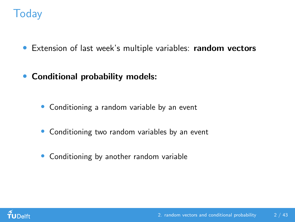# **Today**

- Extension of last week's multiple variables: random vectors
- Conditional probability models:
	- Conditioning a random variable by an event
	- Conditioning two random variables by an event
	- Conditioning by another random variable

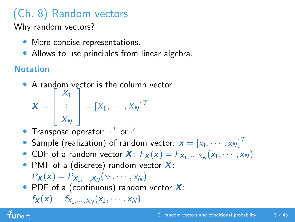# (Ch. 8) Random vectors

Why random vectors?

- More concise representations.
- Allows to use principles from linear algebra.

#### **Notation**

• A random vector is the column vector

$$
\boldsymbol{X} = \begin{bmatrix} X_1 \\ \vdots \\ X_N \end{bmatrix} = [X_1, \cdots, X_N]^T
$$

- Transpose operator:  $\cdot^{\mathcal{T}}$  or  $\cdot^{\prime}$
- $\bullet$  Sample (realization) of random vector:  $\textbf{\textit{x}} = \left[x_1, \cdots, x_N \right]^T$
- CDF of a random vector  $\boldsymbol{X}$ :  $F_{\boldsymbol{X}}(\boldsymbol{x}) = F_{X_1,\cdots,X_N}(x_1,\cdots,x_N)$
- PMF of a (discrete) random vector  $X$ :

 $P_{\bm{X}}(\bm{x}) = P_{X_1, \cdots, X_N}(x_1, \cdots, x_N)$ 

• PDF of a (continuous) random vector  $X$ :

$$
f_{\boldsymbol{X}}(\boldsymbol{x}) = f_{X_1,\cdots,X_N}(x_1,\cdots,x_N)
$$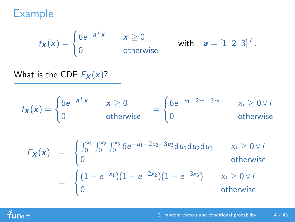Example

$$
f_{\mathbf{X}}(\mathbf{x}) = \begin{cases} 6e^{-\mathbf{a}^T\mathbf{x}} & \mathbf{x} \ge 0 \\ 0 & \text{otherwise} \end{cases} \quad \text{with} \quad \mathbf{a} = \begin{bmatrix} 1 & 2 & 3 \end{bmatrix}^T.
$$

What is the CDF  $F_X(x)$ ?

$$
f_{\mathbf{X}}(\mathbf{x}) = \begin{cases} 6e^{-\mathbf{a}^T\mathbf{x}} & \mathbf{x} \ge 0 \\ 0 & \text{otherwise} \end{cases} = \begin{cases} 6e^{-x_1 - 2x_2 - 3x_3} & x_i \ge 0 \forall i \\ 0 & \text{otherwise} \end{cases}
$$

$$
F_{\mathbf{X}}(\mathbf{x}) = \begin{cases} \int_0^{x_1} \int_0^{x_2} \int_0^{x_3} 6e^{-u_1 - 2u_2 - 3u_3} du_1 du_2 du_3 & x_i \ge 0 \ \forall i \\ 0 & \text{otherwise} \end{cases}
$$
  
= 
$$
\begin{cases} (1 - e^{-x_1})(1 - e^{-2x_2})(1 - e^{-3x_3}) & x_i \ge 0 \ \forall i \\ 0 & \text{otherwise} \end{cases}
$$

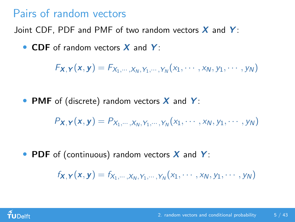# Pairs of random vectors

Joint CDF, PDF and PMF of two random vectors  $X$  and  $Y$ :

• CDF of random vectors X and Y:

 $F_{\bm{X},\bm{Y}}(\bm{x},\bm{y}) = F_{X_1,\cdots,X_N,Y_1,\cdots,Y_N}(x_1,\cdots,x_N,y_1,\cdots,y_N)$ 

• PMF of (discrete) random vectors  $X$  and  $Y$ :

 $P_{\bm{X},\bm{Y}}(\bm{x},\bm{y}) = P_{X_1,\cdots,X_N,Y_1,\cdots,Y_N}(x_1,\cdots,x_N,y_1,\cdots,y_N)$ 

• PDF of (continuous) random vectors  $X$  and  $Y$ :

 $f_{\mathbf{X},\mathbf{Y}}(\mathbf{x},\mathbf{y})=f_{X_1,\cdots,X_N,Y_1,\cdots,Y_N}(x_1,\cdots,x_N,y_1,\cdots,y_N)$ 

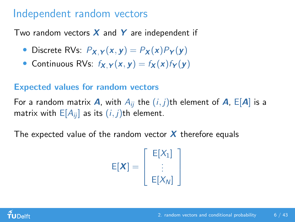## Independent random vectors

Two random vectors  $X$  and  $Y$  are independent if

- Discrete RVs:  $P_{X,Y}(x, y) = P_X(x)P_Y(y)$
- Continuous RVs:  $f_{X,Y}(x, y) = f_X(x) f_Y(y)$

#### Expected values for random vectors

For a random matrix **A**, with  $A_{ii}$  the  $(i, j)$ th element of **A**,  $E[A]$  is a matrix with  $E[A_{ii}]$  as its  $(i, j)$ th element.

The expected value of the random vector  $X$  therefore equals

$$
E[\boldsymbol{X}] = \left[ \begin{array}{c} E[X_1] \\ \vdots \\ E[X_N] \end{array} \right]
$$

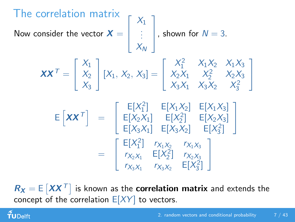The correlation matrix Now consider the vector  $\bm{X}=$  $\sqrt{ }$  $\mathbf{I}$  $X_1$ . . .  $X_N$ 1 , shown for  $N = 3$ .

$$
\mathbf{XX}^{\mathsf{T}} = \begin{bmatrix} X_1 \\ X_2 \\ X_3 \end{bmatrix} [X_1, X_2, X_3] = \begin{bmatrix} X_1^2 & X_1 X_2 & X_1 X_3 \\ X_2 X_1 & X_2^2 & X_2 X_3 \\ X_3 X_1 & X_3 X_2 & X_3^2 \end{bmatrix}
$$

$$
\begin{array}{rcl}\n\mathsf{E}\left[\mathbf{X}\mathbf{X}^{\top}\right] & = & \left[\begin{array}{cc}\n\mathsf{E}[X_{1}^{2}] & \mathsf{E}[X_{1}X_{2}] & \mathsf{E}[X_{1}X_{3}]\n\end{array}\right] \\
& = & \left[\begin{array}{cc}\n\mathsf{E}[X_{2}X_{1}] & \mathsf{E}[X_{2}^{2}] & \mathsf{E}[X_{2}X_{3}]\n\end{array}\right] \\
& = & \left[\begin{array}{cc}\n\mathsf{E}[X_{1}^{2}] & r_{X_{1}X_{2}} & r_{X_{1}X_{3}} \\
r_{X_{2}X_{1}} & \mathsf{E}[X_{2}^{2}] & r_{X_{2}X_{3}} \\
r_{X_{3}X_{1}} & r_{X_{3}X_{2}} & \mathsf{E}[X_{3}^{2}]\n\end{array}\right]\n\end{array}
$$

 $R_X = \mathbb{E}\left[XX^T\right]$  is known as the correlation matrix and extends the concept of the correlation  $E[XY]$  to vectors.

 $f$ UDelft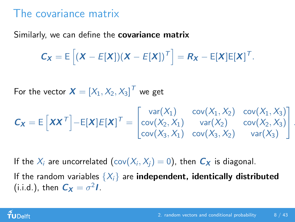#### The covariance matrix

Similarly, we can define the **covariance matrix** 

$$
C_X = E\left[ (X - E[X])(X - E[X])^T \right] = R_X - E[X]E[X]^T.
$$

For the vector  $\boldsymbol{X} = \left[X_1, X_2, X_3\right]^{\mathsf{T}}$  we get

$$
\mathbf{C}_{\mathbf{X}} = \mathsf{E}\left[\mathbf{X}\mathbf{X}^{\mathsf{T}}\right] - \mathsf{E}[\mathbf{X}]\mathsf{E}[\mathbf{X}]^{\mathsf{T}} = \begin{bmatrix} \text{var}(X_1) & \text{cov}(X_1, X_2) & \text{cov}(X_1, X_3) \\ \text{cov}(X_2, X_1) & \text{var}(X_2) & \text{cov}(X_2, X_3) \\ \text{cov}(X_3, X_1) & \text{cov}(X_3, X_2) & \text{var}(X_3) \end{bmatrix}.
$$

If the  $X_i$  are uncorrelated  $(\text{cov}(X_i,X_j)=0)$ , then  $\boldsymbol{C}_\boldsymbol{X}$  is diagonal. If the random variables  $\{X_i\}$  are independent, identically distributed (i.i.d.), then  $C_X = \sigma^2 I$ .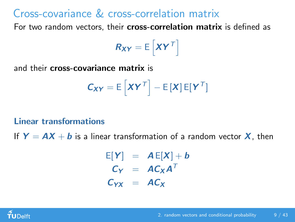# Cross-covariance & cross-correlation matrix

For two random vectors, their cross-correlation matrix is defined as

$$
R_{XY} = E\left[XY^T\right]
$$

and their cross-covariance matrix is

$$
C_{XY} = E\left[XY^T\right] - E\left[X\right]E[Y^T]
$$

#### Linear transformations

If  $Y = AX + b$  is a linear transformation of a random vector X, then

$$
E[Y] = AE[X] + b
$$
  
\n
$$
C_Y = AC_XA^T
$$
  
\n
$$
C_{YX} = AC_X
$$

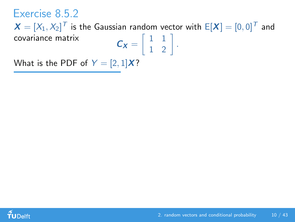#### Exercise 8.5.2

 $\boldsymbol{X} = [X_1, X_2]^{\top}$  is the Gaussian random vector with  $\boldsymbol{\mathsf{E}}[\boldsymbol{X}] = [0, 0]^{\top}$  and covariance matrix  $\begin{bmatrix} 1 & 1 \end{bmatrix}$ .

1 2

What is the PDF of  $Y = [2, 1]X$ ?

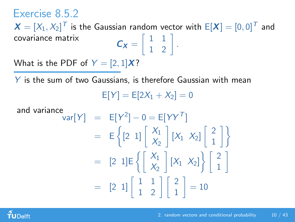#### Exercise 8.5.2

 $\boldsymbol{X} = [X_1, X_2]^{\top}$  is the Gaussian random vector with  $\boldsymbol{\mathsf{E}}[\boldsymbol{X}] = [0, 0]^{\top}$  and covariance matrix  $\begin{bmatrix} 1 & 1 \end{bmatrix}$ 1 2 .

What is the PDF of  $Y = [2, 1]X$ ?

 $Y$  is the sum of two Gaussians, is therefore Gaussian with mean  $E[Y] = E[2X_1 + X_2] = 0$ 

and variance  
\n
$$
var[Y] = E[Y^2] - 0 = E[YY^T]
$$
\n
$$
= E\left\{ [2 \ 1] \begin{bmatrix} X_1 \\ X_2 \end{bmatrix} [X_1 \ X_2] \begin{bmatrix} 2 \\ 1 \end{bmatrix} \right\}
$$
\n
$$
= [2 \ 1]E\left\{ \begin{bmatrix} X_1 \\ X_2 \end{bmatrix} [X_1 \ X_2] \right\} \begin{bmatrix} 2 \\ 1 \end{bmatrix}
$$
\n
$$
= [2 \ 1] \begin{bmatrix} 1 & 1 \\ 1 & 2 \end{bmatrix} \begin{bmatrix} 2 \\ 1 \end{bmatrix} = 10
$$

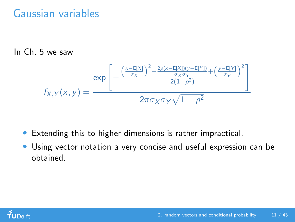# Gaussian variables

In Ch. 5 we saw

$$
f_{X,Y}(x,y) = \frac{\exp\left[-\frac{\left(\frac{x-\mathsf{E}[X]}{\sigma_X}\right)^2 - \frac{2\rho(x-\mathsf{E}[X])(y-\mathsf{E}[Y])}{\sigma_X\sigma_Y} + \left(\frac{y-\mathsf{E}[Y]}{\sigma_Y}\right)^2}{2(1-\rho^2)}\right]}{2\pi\sigma_X\sigma_Y\sqrt{1-\rho^2}}
$$

- Extending this to higher dimensions is rather impractical.
- Using vector notation a very concise and useful expression can be obtained.

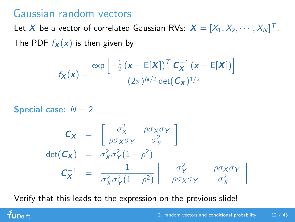#### Gaussian random vectors

Let  $\boldsymbol{X}$  be a vector of correlated Gaussian RVs:  $\boldsymbol{X} = [X_1, X_2, \cdots, X_N]^T$ . The PDF  $f_{\mathbf{X}}(x)$  is then given by

$$
f_{\mathbf{X}}(\mathbf{x}) = \frac{\exp\left[-\frac{1}{2}(\mathbf{x} - \mathsf{E}[\mathbf{X}])^T \mathbf{C}_{\mathbf{X}}^{-1}(\mathbf{x} - \mathsf{E}[\mathbf{X}])\right]}{(2\pi)^{N/2} \det(\mathbf{C}_{\mathbf{X}})^{1/2}}
$$

Special case:  $N = 2$ 

TUDelft

$$
C_X = \begin{bmatrix} \sigma_X^2 & \rho \sigma_X \sigma_Y \\ \rho \sigma_X \sigma_Y & \sigma_Y^2 \end{bmatrix}
$$
  
det $(C_X)$  =  $\sigma_X^2 \sigma_Y^2 (1 - \rho^2)$   

$$
C_X^{-1} = \frac{1}{\sigma_X^2 \sigma_Y^2 (1 - \rho^2)} \begin{bmatrix} \sigma_Y^2 & -\rho \sigma_X \sigma_Y \\ -\rho \sigma_X \sigma_Y & \sigma_X^2 \end{bmatrix}
$$

Verify that this leads to the expression on the previous slide!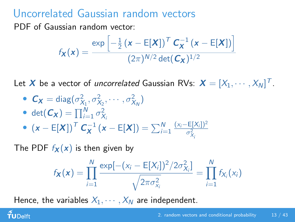# Uncorrelated Gaussian random vectors

PDF of Gaussian random vector:

$$
f_{\mathbf{X}}(\mathbf{x}) = \frac{\exp\left[-\frac{1}{2}(\mathbf{x} - \mathsf{E}[\mathbf{X}])^{\mathsf{T}} \mathbf{C}_{\mathbf{X}}^{-1}(\mathbf{x} - \mathsf{E}[\mathbf{X}])\right]}{(2\pi)^{N/2} \det(\mathbf{C}_{\mathbf{X}})^{1/2}}
$$

Let  $\boldsymbol{X}$  be a vector of *uncorrelated* Gaussian RVs:  $\boldsymbol{X} = [X_1, \cdots, X_N]^T$ .

\n- $$
\mathbf{C}_{\mathbf{X}} = \text{diag}(\sigma_{X_1}^2, \sigma_{X_2}^2, \cdots, \sigma_{X_N}^2)
$$
\n- $\text{det}(\mathbf{C}_{\mathbf{X}}) = \prod_{i=1}^{N} \sigma_{X_i}^2$
\n- $(\mathbf{x} - \mathsf{E}[\mathbf{X}])^T \mathbf{C}_{\mathbf{X}}^{-1} (\mathbf{x} - \mathsf{E}[\mathbf{X}]) = \sum_{i=1}^{N} \frac{(x_i - \mathsf{E}[X_i])^2}{\sigma_{X_i}^2}$
\n

The PDF  $f_{\mathbf{X}}(\mathbf{x})$  is then given by

 $f$ UDelft

$$
f_{\mathbf{X}}(\mathbf{x}) = \prod_{i=1}^{N} \frac{\exp[-(x_i - \mathsf{E}[X_i])^2 / 2\sigma_{X_i}^2]}{\sqrt{2\pi \sigma_{X_i}^2}} = \prod_{i=1}^{N} f_{X_i}(x_i)
$$

Hence, the variables  $X_1, \cdots, X_N$  are independent.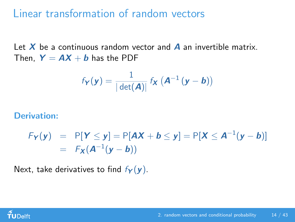#### Linear transformation of random vectors

Let  $X$  be a continuous random vector and  $\overline{A}$  an invertible matrix. Then,  $Y = AX + b$  has the PDF

$$
f_{\mathbf{Y}}(\mathbf{y}) = \frac{1}{|\det(\mathbf{A})|} f_{\mathbf{X}}(\mathbf{A}^{-1}(\mathbf{y}-\mathbf{b}))
$$

#### Derivation:

$$
F_Y(y) = P[Y \le y] = P[AX + b \le y] = P[X \le A^{-1}(y - b)]
$$
  
=  $F_X(A^{-1}(y - b))$ 

Next, take derivatives to find  $f_Y(y)$ .

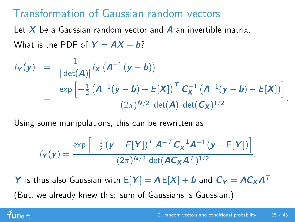## Transformation of Gaussian random vectors

Let  $X$  be a Gaussian random vector and  $A$  an invertible matrix. What is the PDF of  $Y = AX + b$ ?

$$
f_{\mathbf{Y}}(\mathbf{y}) = \frac{1}{|\det(\mathbf{A})|} f_{\mathbf{X}} (\mathbf{A}^{-1} (\mathbf{y} - \mathbf{b}))
$$
  
= 
$$
\frac{\exp \left[-\frac{1}{2} (\mathbf{A}^{-1} (\mathbf{y} - \mathbf{b}) - E[\mathbf{X}])^T \mathbf{C}_{\mathbf{X}}^{-1} (\mathbf{A}^{-1} (\mathbf{y} - \mathbf{b}) - E[\mathbf{X}])\right]}{(2\pi)^{N/2} |\det(\mathbf{A})| \det(\mathbf{C}_{\mathbf{X}})^{1/2}}
$$

Using some manipulations, this can be rewritten as

$$
f_{\boldsymbol{Y}}(\boldsymbol{y}) = \frac{\exp\left[-\frac{1}{2}(\boldsymbol{y}-E[\boldsymbol{Y}])^{\top} \boldsymbol{A}^{-\top} \boldsymbol{C}_{\boldsymbol{X}}^{-1} \boldsymbol{A}^{-1} (\boldsymbol{y}-E[\boldsymbol{Y}])\right]}{(2\pi)^{N/2} \det(\boldsymbol{A}\boldsymbol{C}_{\boldsymbol{X}} \boldsymbol{A}^{\top})^{1/2}}.
$$

Y is thus also Gaussian with  $E[Y] = AE[X] + b$  and  $C_Y = AC_XA^T$ (But, we already knew this: sum of Gaussians is Gaussian.)

#### $\tilde{\mathbf{f}}$ UDelft

.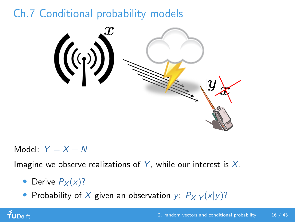# Ch.7 Conditional probability models



Model:  $Y = X + N$ 

Imagine we observe realizations of Y, while our interest is  $X$ .

- Derive  $P_X(x)$ ?
- Probability of X given an observation y:  $P_{X|Y}(x|y)$ ?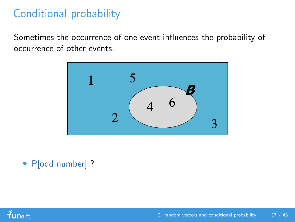# Conditional probability

Sometimes the occurrence of one event influences the probability of occurrence of other events.



• P[odd number] ?

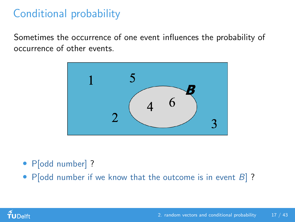# Conditional probability

Sometimes the occurrence of one event influences the probability of occurrence of other events.



- P[odd number] ?
- P[odd number if we know that the outcome is in event  $B$ ]?

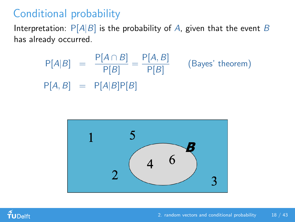# Conditional probability

Interpretation:  $P[A|B]$  is the probability of A, given that the event B has already occurred.

$$
P[A|B] = \frac{P[A \cap B]}{P[B]} = \frac{P[A, B]}{P[B]}
$$
 (Bayes' theorem)  
 
$$
P[A, B] = P[A|B]P[B]
$$



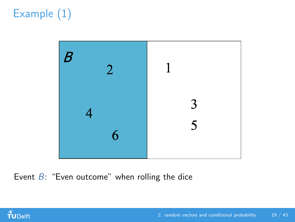# Example (1)



Event  $B$ : "Even outcome" when rolling the dice

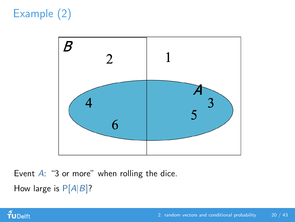# Example (2)



Event  $A$ : "3 or more" when rolling the dice. How large is  $P[A|B]$ ?

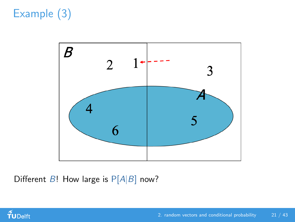# Example (3)



Different  $B!$  How large is  $P[A|B]$  now?

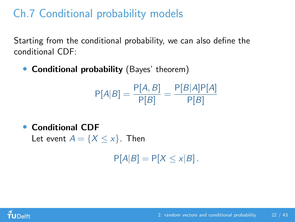# Ch.7 Conditional probability models

Starting from the conditional probability, we can also define the conditional CDF:

• Conditional probability (Bayes' theorem)

$$
P[A|B] = \frac{P[A,B]}{P[B]} = \frac{P[B|A]P[A]}{P[B]}
$$

• Conditional CDF

Let event  $A = \{X \le x\}$ . Then

 $P[A|B] = P[X \le x|B]$ .

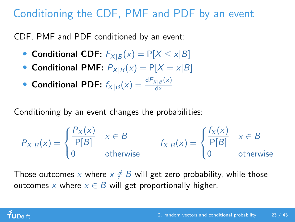# Conditioning the CDF, PMF and PDF by an event

CDF, PMF and PDF conditioned by an event:

- Conditional CDF:  $F_{X|B}(x) = P[X \le x|B]$
- Conditional PMF:  $P_{X|B}(x) = P[X = x|B]$
- Conditional PDF:  $f_{X|B}(x) = \frac{dF_{X|B}(x)}{dx}$

Conditioning by an event changes the probabilities:

$$
P_{X|B}(x) = \begin{cases} \frac{P_X(x)}{P[B]} & x \in B \\ 0 & \text{otherwise} \end{cases} \qquad f_{X|B}(x) = \begin{cases} \frac{f_X(x)}{P[B]} & x \in B \\ 0 & \text{otherwise} \end{cases}
$$

Those outcomes x where  $x \notin B$  will get zero probability, while those outcomes x where  $x \in B$  will get proportionally higher.

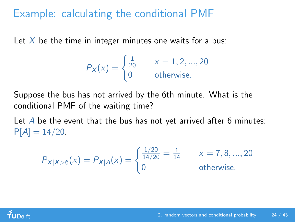## Example: calculating the conditional PMF

Let  $X$  be the time in integer minutes one waits for a bus:

$$
P_X(x) = \begin{cases} \frac{1}{20} & x = 1, 2, \dots, 20\\ 0 & \text{otherwise.} \end{cases}
$$

Suppose the bus has not arrived by the 6th minute. What is the conditional PMF of the waiting time?

Let  $\overline{A}$  be the event that the bus has not vet arrived after 6 minutes:  $P[A] = 14/20$ .

$$
P_{X|X>6}(x) = P_{X|A}(x) = \begin{cases} \frac{1/20}{14/20} = \frac{1}{14} & x = 7, 8, ..., 20\\ 0 & \text{otherwise.} \end{cases}
$$

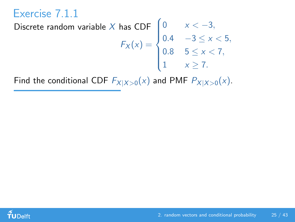# Exercise 7.1.1

#### Discrete random variable  $X$  has  $\mathsf{CDF}$  $F_X(x) =$  $\sqrt{ }$  $\Big\}$  $\overline{\mathcal{L}}$ 0  $x < -3$ , 0.4  $-3 \le x < 5$ , 0.8  $5 \le x < 7$ , 1  $x \geq 7$ .

Find the conditional CDF  $F_{X|X>0}(x)$  and PMF  $P_{X|X>0}(x)$ .

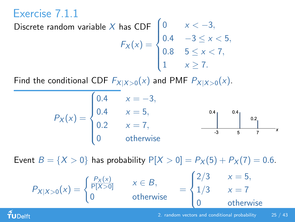# Exercise 7.1.1

#### Discrete random variable  $X$  has  $\mathsf{CDF}$  $F_X(x) =$  $\sqrt{ }$  $\Big\}$  $\overline{\mathcal{L}}$ 0  $x < -3$ , 0.4  $-3 \le x < 5$ , 0.8  $5 \le x < 7$ , 1  $x \geq 7$ .

Find the conditional CDF  $F_{X|X>0}(x)$  and PMF  $P_{X|X>0}(x)$ .

$$
P_X(x) = \begin{cases} 0.4 & x = -3, \\ 0.4 & x = 5, \\ 0.2 & x = 7, \\ 0 & \text{otherwise} \end{cases}
$$

Event  $B = \{X > 0\}$  has probability  $P[X > 0] = P_X(5) + P_X(7) = 0.6$ .

$$
P_{X|X>0}(x) = \begin{cases} \frac{P_X(x)}{P[X>0]} & x \in B, \\ 0 & \text{otherwise} \end{cases} = \begin{cases} 2/3 & x = 5, \\ 1/3 & x = 7 \\ 0 & \text{otherwise} \end{cases}
$$

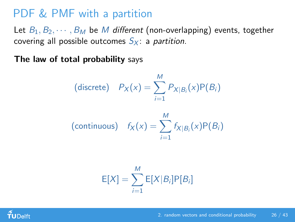# PDF & PMF with a partition

Let  $B_1, B_2, \cdots, B_M$  be M different (non-overlapping) events, together covering all possible outcomes  $S_X$ : a partition.

The law of total probability says

(discrete) 
$$
P_X(x) = \sum_{i=1}^{M} P_{X|B_i}(x)P(B_i)
$$
  
(continuous)  $f_X(x) = \sum_{i=1}^{M} f_{X|B_i}(x)P(B_i)$ 

$$
E[X] = \sum_{i=1}^{M} E[X|B_i]P[B_i]
$$

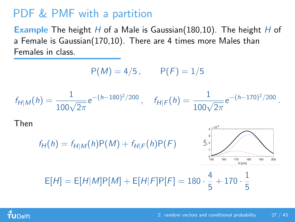# PDF & PMF with a partition

Example The height  $H$  of a Male is Gaussian(180,10). The height  $H$  of a Female is Gaussian(170,10). There are 4 times more Males than Females in class.

 $P(M) = 4/5$ ,  $P(F) = 1/5$ 

$$
f_{H|M}(h) = \frac{1}{100\sqrt{2\pi}}e^{-(h-180)^2/200}, \quad f_{H|F}(h) = \frac{1}{100\sqrt{2\pi}}e^{-(h-170)^2/200}.
$$

Then

$$
f_H(h) = f_{H|M}(h)P(M) + f_{H|F}(h)P(F)
$$
  
\n
$$
E[H] = E[H|M]P[M] + E[H|F]P[F] = 180 \cdot \frac{4}{5} + 170 \cdot \frac{1}{5}
$$

 $4 \frac{\times 10^{-3}}{2}$ 

1 5

 $100$ 

200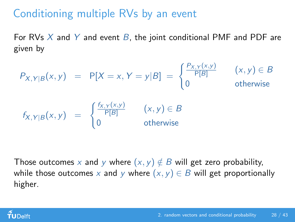# Conditioning multiple RVs by an event

For RVs  $X$  and  $Y$  and event  $B$ , the joint conditional PMF and PDF are given by

$$
P_{X,Y|B}(x,y) = P[X=x, Y=y|B] = \begin{cases} \frac{P_{X,Y}(x,y)}{P[B]} & (x,y) \in B \\ 0 & \text{otherwise} \end{cases}
$$
  

$$
f_{X,Y|B}(x,y) = \begin{cases} \frac{f_{X,Y}(x,y)}{P[B]} & (x,y) \in B \\ 0 & \text{otherwise} \end{cases}
$$

Those outcomes x and y where  $(x, y) \notin B$  will get zero probability, while those outcomes x and y where  $(x, y) \in B$  will get proportionally higher.

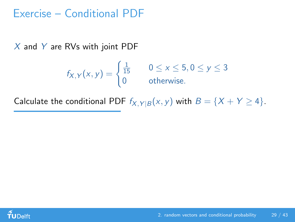#### Exercise – Conditional PDF

 $X$  and Y are RVs with joint PDF

$$
f_{X,Y}(x,y) = \begin{cases} \frac{1}{15} & 0 \le x \le 5, 0 \le y \le 3\\ 0 & \text{otherwise.} \end{cases}
$$

Calculate the conditional PDF  $f_{X,Y|B}(x, y)$  with  $B = \{X + Y \ge 4\}.$ 

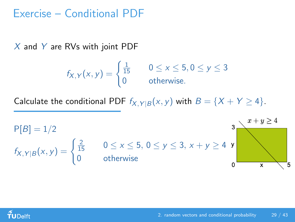#### Exercise – Conditional PDF

 $X$  and Y are RVs with joint PDF

$$
f_{X,Y}(x,y) = \begin{cases} \frac{1}{15} & 0 \le x \le 5, 0 \le y \le 3\\ 0 & \text{otherwise.} \end{cases}
$$

Calculate the conditional PDF  $f_{X,Y|B}(x, y)$  with  $B = \{X + Y \ge 4\}.$ 



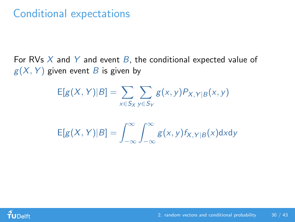# Conditional expectations

For RVs  $X$  and  $Y$  and event  $B$ , the conditional expected value of  $g(X, Y)$  given event B is given by

$$
E[g(X, Y)|B] = \sum_{x \in S_X} \sum_{y \in S_Y} g(x, y) P_{X, Y|B}(x, y)
$$

$$
E[g(X, Y)|B] = \int_{-\infty}^{\infty} \int_{-\infty}^{\infty} g(x, y) f_{X, Y|B}(x) \mathrm{d}x \mathrm{d}y
$$

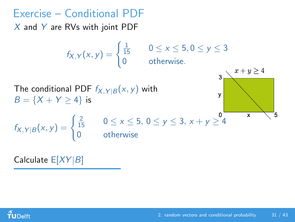# Exercise – Conditional PDF

 $X$  and Y are RVs with joint PDF

 $f_{X,Y}(x, y) = \begin{cases} \frac{1}{15} & 0 \leq x \leq 5, 0 \leq y \leq 3 \\ 0 & \text{otherwise} \end{cases}$ 0 otherwise.



The conditional PDF  $f_{X, Y|B}(x, y)$  with  $B = \{X + Y > 4\}$  is



 $0 \le x \le 5, 0 \le y \le 3, x + y \ge 4$ **otherwise** 

Calculate  $E[XY|B]$ 

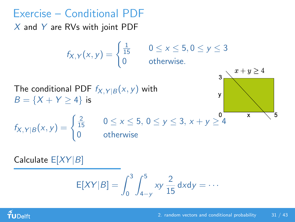# Exercise – Conditional PDF

 $X$  and Y are RVs with joint PDF

 $f_{X,Y}(x, y) = \begin{cases} \frac{1}{15} & 0 \leq x \leq 5, 0 \leq y \leq 3 \\ 0 & \text{otherwise} \end{cases}$ 0 otherwise.





$$
f_{X,Y|B}(x,y) = \begin{cases} \frac{2}{15} & 0 \le x \le 5, \ 0 \le y \le 3, \\ 0 & \text{otherwise} \end{cases}
$$

Calculate  $E[XY|B]$ 

$$
E[XY|B] = \int_0^3 \int_{4-y}^5 xy \frac{2}{15} dx dy = \cdots
$$

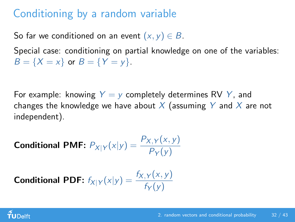# Conditioning by a random variable

So far we conditioned on an event  $(x, y) \in B$ .

Special case: conditioning on partial knowledge on one of the variables:  $B = \{X = x\}$  or  $B = \{Y = y\}.$ 

For example: knowing  $Y = y$  completely determines RV Y, and changes the knowledge we have about X (assuming Y and X are not independent).

**Conditional PMF:**  $P_{X|Y}(x|y) = \frac{P_{X,Y}(x,y)}{P_Y(y)}$ 

**Conditional PDF:** 
$$
f_{X|Y}(x|y) = \frac{f_{X,Y}(x,y)}{f_Y(y)}
$$

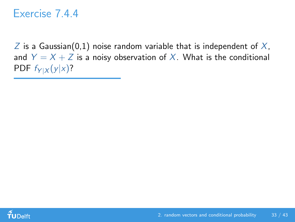#### Exercise 7.4.4

 $Z$  is a Gaussian(0,1) noise random variable that is independent of  $X$ , and  $Y = X + Z$  is a noisy observation of X. What is the conditional PDF  $f_{Y|X}(y|x)$ ?

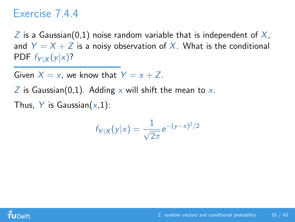#### Exercise 7.4.4

Z is a Gaussian(0,1) noise random variable that is independent of  $X$ , and  $Y = X + Z$  is a noisy observation of X. What is the conditional PDF  $f_{Y|X}(y|x)$ ?

Given  $X = x$ , we know that  $Y = x + Z$ .

Z is Gaussian(0,1). Adding x will shift the mean to x.

Thus, Y is Gaussian $(x,1)$ :

$$
f_{Y|X}(y|x) = \frac{1}{\sqrt{2\pi}}e^{-(y-x)^2/2}
$$

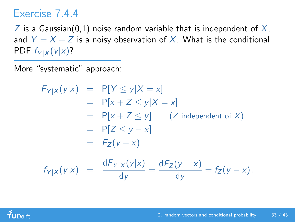### Exercise 7.4.4

 $Z$  is a Gaussian(0,1) noise random variable that is independent of  $X$ , and  $Y = X + Z$  is a noisy observation of X. What is the conditional PDF  $f_{Y|X}(y|x)$ ?

More "systematic" approach:

$$
F_{Y|X}(y|x) = P[Y \le y|X = x]
$$
  
\n
$$
= P[x + Z \le y|X = x]
$$
  
\n
$$
= P[x + Z \le y] \quad (Z \text{ independent of } X)
$$
  
\n
$$
= P[Z \le y - x]
$$
  
\n
$$
= F_Z(y - x)
$$
  
\n
$$
f_{Y|X}(y|x) = \frac{dF_{Y|X}(y|x)}{dy} = \frac{dF_Z(y - x)}{dy} = f_Z(y - x).
$$

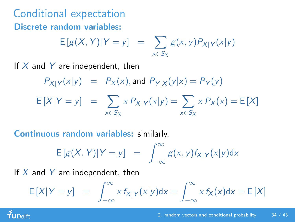Conditional expectation Discrete random variables:

$$
E[g(X, Y)|Y = y] = \sum_{x \in S_X} g(x, y) P_{X|Y}(x|y)
$$

If  $X$  and  $Y$  are independent, then

$$
P_{X|Y}(x|y) = P_X(x), \text{ and } P_{Y|X}(y|x) = P_Y(y)
$$
  
\n
$$
E[X|Y = y] = \sum_{x \in S_X} x P_{X|Y}(x|y) = \sum_{x \in S_X} x P_X(x) = E[X]
$$

Continuous random variables: similarly,

$$
E[g(X, Y)|Y = y] = \int_{-\infty}^{\infty} g(x, y) f_{X|Y}(x|y) dx
$$

If  $X$  and  $Y$  are independent, then

 $\tilde{\mathbf{f}}$ UDelft

$$
E[X|Y = y] = \int_{-\infty}^{\infty} x f_{X|Y}(x|y) dx = \int_{-\infty}^{\infty} x f_X(x) dx = E[X]
$$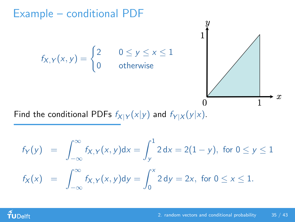

Find the conditional PDFs  $f_{X|Y}(x|y)$  and  $f_{Y|X}(y|x)$ .

$$
f_Y(y) = \int_{-\infty}^{\infty} f_{X,Y}(x,y)dx = \int_{y}^{1} 2 dx = 2(1-y), \text{ for } 0 \le y \le 1
$$
  

$$
f_X(x) = \int_{-\infty}^{\infty} f_{X,Y}(x,y)dy = \int_{0}^{x} 2 dy = 2x, \text{ for } 0 \le x \le 1.
$$

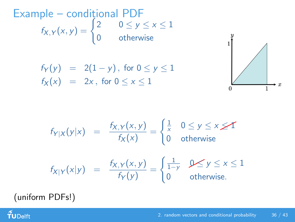Example – condițional PDF  $f_{X,Y}(x, y) = \begin{cases} 2 & 0 \le y \le x \le 1 \\ 0 & \text{otherwise} \end{cases}$ 0 otherwise

> $f_Y(y) = 2(1 - y)$ , for  $0 \le y \le 1$  $f_X(x) = 2x$ , for  $0 \le x \le 1$



$$
f_{Y|X}(y|x) = \frac{f_{X,Y}(x,y)}{f_X(x)} = \begin{cases} \frac{1}{x} & 0 \le y \le x \le T \\ 0 & \text{otherwise} \end{cases}
$$

$$
f_{X|Y}(x|y) = \frac{f_{X,Y}(x,y)}{f_Y(y)} = \begin{cases} \frac{1}{1-y} & 0 \le y \le x \le 1 \\ 0 & \text{otherwise.} \end{cases}
$$

(uniform PDFs!)

 $f$ UDelft

#### [2. random vectors and conditional probability](#page-0-0) 36 / 43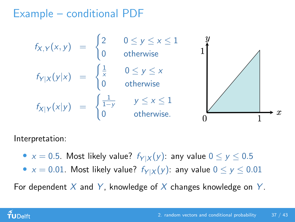# Example – conditional PDF

$$
f_{X,Y}(x,y) = \begin{cases} 2 & 0 \le y \le x \le 1 \\ 0 & \text{otherwise} \end{cases}
$$
  
\n
$$
f_{Y|X}(y|x) = \begin{cases} \frac{1}{x} & 0 \le y \le x \\ 0 & \text{otherwise} \end{cases}
$$
  
\n
$$
f_{X|Y}(x|y) = \begin{cases} \frac{1}{1-y} & y \le x \le 1 \\ 0 & \text{otherwise} \end{cases}
$$

Interpretation:

- $x = 0.5$ . Most likely value?  $f_{Y|X}(y)$ : any value  $0 \le y \le 0.5$
- $x = 0.01$ . Most likely value?  $f_{Y|X}(y)$ : any value  $0 \le y \le 0.01$

For dependent X and Y, knowledge of X changes knowledge on Y.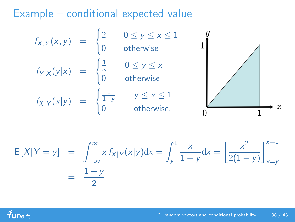# Example – conditional expected value

$$
f_{X,Y}(x,y) = \begin{cases} 2 & 0 \le y \le x \le 1 \\ 0 & \text{otherwise} \end{cases}
$$
  
\n
$$
f_{Y|X}(y|x) = \begin{cases} \frac{1}{x} & 0 \le y \le x \\ 0 & \text{otherwise} \end{cases}
$$
  
\n
$$
f_{X|Y}(x|y) = \begin{cases} \frac{1}{1-y} & y \le x \le 1 \\ 0 & \text{otherwise.} \end{cases}
$$

$$
E[X|Y = y] = \int_{-\infty}^{\infty} x f_{X|Y}(x|y) dx = \int_{y}^{1} \frac{x}{1 - y} dx = \left[ \frac{x^{2}}{2(1 - y)} \right]_{x = y}^{x = 1}
$$

$$
= \frac{1 + y}{2}
$$

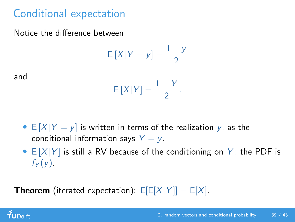# Conditional expectation

Notice the difference between

$$
E[X|Y=y] = \frac{1+y}{2}
$$

and

$$
E[X|Y] = \frac{1+Y}{2}.
$$

- $E[X|Y = y]$  is written in terms of the realization y, as the conditional information says  $Y = y$ .
- $E[X|Y]$  is still a RV because of the conditioning on Y: the PDF is  $f_Y(y)$ .

**Theorem** (iterated expectation):  $E[E[X|Y]] = E[X]$ .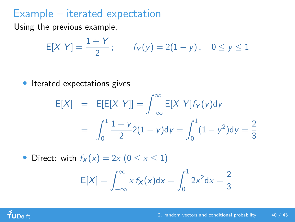### Example – iterated expectation

Using the previous example,

$$
E[X|Y] = \frac{1+Y}{2};
$$
  $f_Y(y) = 2(1-y),$   $0 \le y \le 1$ 

Iterated expectations gives

$$
E[X] = E[E[X|Y]] = \int_{-\infty}^{\infty} E[X|Y] f_Y(y) dy
$$
  
= 
$$
\int_{0}^{1} \frac{1+y}{2} 2(1-y) dy = \int_{0}^{1} (1-y^2) dy = \frac{2}{3}
$$

• Direct: with  $f_X(x) = 2x (0 \le x \le 1)$  $E[X] = \int_{-\infty}^{\infty}$ −∞  $x f_X(x) dx =$  $\int_0^1$ 0  $2x^2 dx = \frac{2}{3}$ 3

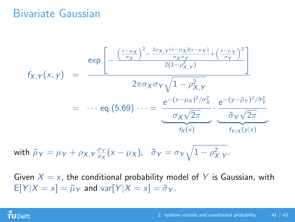#### Bivariate Gaussian

$$
f_{X,Y}(x,y) = \frac{\exp\left[-\frac{\left(\frac{x-\mu_X}{\sigma_X}\right)^2 - \frac{2\rho_{X,Y}(x-\mu_X)(y-\mu_Y)}{\sigma_X\sigma_Y} + \left(\frac{y-\mu_Y}{\sigma_Y}\right)^2}{2(1-\rho_{X,Y}^2)}\right]}{2\pi\sigma_X\sigma_Y\sqrt{1-\rho_{X,Y}^2}}
$$
  

$$
= \cdots \text{eq.}(5.69) \cdots = \frac{e^{-(x-\mu_X)^2/\sigma_X^2}}{\sigma_X\sqrt{2\pi}} \cdot \frac{e^{-(y-\tilde{\mu}_Y)^2/\tilde{\sigma}_Y^2}}{\sigma_Y\sqrt{2\pi}}
$$

with 
$$
\tilde{\mu}_Y = \mu_Y + \rho_{X,Y} \frac{\sigma_Y}{\sigma_X} (x - \mu_X), \quad \tilde{\sigma}_Y = \sigma_Y \sqrt{1 - \rho_{X,Y}^2}.
$$

Given  $X = x$ , the conditional probability model of Y is Gaussian, with  $E[Y|X = x] = \tilde{\mu}_Y$  and var $[Y|X = x] = \tilde{\sigma}_Y$ .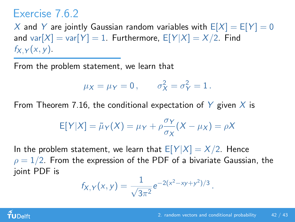## Exercise 7.6.2

X and Y are jointly Gaussian random variables with  $E[X] = E[Y] = 0$ and var $[X]$  = var $[Y]$  = 1. Furthermore,  $E[Y|X] = X/2$ . Find  $f_X$   $\gamma$   $(x, y)$ .

From the problem statement, we learn that

$$
\mu_X = \mu_Y = 0, \qquad \sigma_X^2 = \sigma_Y^2 = 1.
$$

From Theorem 7.16, the conditional expectation of  $Y$  given  $X$  is

$$
E[Y|X] = \tilde{\mu}_Y(X) = \mu_Y + \rho \frac{\sigma_Y}{\sigma_X}(X - \mu_X) = \rho X
$$

In the problem statement, we learn that  $E[Y|X] = X/2$ . Hence  $\rho = 1/2$ . From the expression of the PDF of a bivariate Gaussian, the joint PDF is

$$
f_{X,Y}(x,y) = \frac{1}{\sqrt{3\pi^2}}e^{-2(x^2-xy+y^2)/3}.
$$